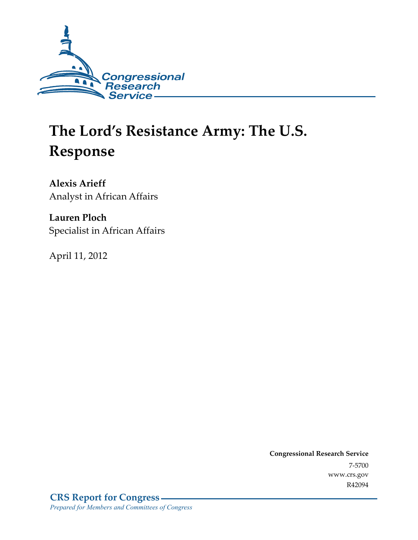

# **The Lord's Resistance Army: The U.S. Response**

**Alexis Arieff**  Analyst in African Affairs

**Lauren Ploch**  Specialist in African Affairs

April 11, 2012

**Congressional Research Service**  7-5700 www.crs.gov R42094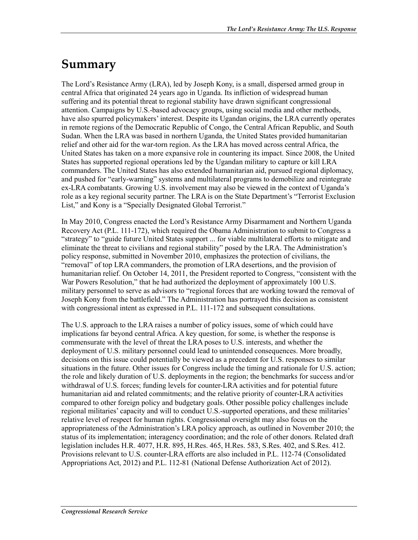## **Summary**

The Lord's Resistance Army (LRA), led by Joseph Kony, is a small, dispersed armed group in central Africa that originated 24 years ago in Uganda. Its infliction of widespread human suffering and its potential threat to regional stability have drawn significant congressional attention. Campaigns by U.S.-based advocacy groups, using social media and other methods, have also spurred policymakers' interest. Despite its Ugandan origins, the LRA currently operates in remote regions of the Democratic Republic of Congo, the Central African Republic, and South Sudan. When the LRA was based in northern Uganda, the United States provided humanitarian relief and other aid for the war-torn region. As the LRA has moved across central Africa, the United States has taken on a more expansive role in countering its impact. Since 2008, the United States has supported regional operations led by the Ugandan military to capture or kill LRA commanders. The United States has also extended humanitarian aid, pursued regional diplomacy, and pushed for "early-warning" systems and multilateral programs to demobilize and reintegrate ex-LRA combatants. Growing U.S. involvement may also be viewed in the context of Uganda's role as a key regional security partner. The LRA is on the State Department's "Terrorist Exclusion List," and Kony is a "Specially Designated Global Terrorist."

In May 2010, Congress enacted the Lord's Resistance Army Disarmament and Northern Uganda Recovery Act (P.L. 111-172), which required the Obama Administration to submit to Congress a "strategy" to "guide future United States support ... for viable multilateral efforts to mitigate and eliminate the threat to civilians and regional stability" posed by the LRA. The Administration's policy response, submitted in November 2010, emphasizes the protection of civilians, the "removal" of top LRA commanders, the promotion of LRA desertions, and the provision of humanitarian relief. On October 14, 2011, the President reported to Congress, "consistent with the War Powers Resolution," that he had authorized the deployment of approximately 100 U.S. military personnel to serve as advisors to "regional forces that are working toward the removal of Joseph Kony from the battlefield." The Administration has portrayed this decision as consistent with congressional intent as expressed in P.L. 111-172 and subsequent consultations.

The U.S. approach to the LRA raises a number of policy issues, some of which could have implications far beyond central Africa. A key question, for some, is whether the response is commensurate with the level of threat the LRA poses to U.S. interests, and whether the deployment of U.S. military personnel could lead to unintended consequences. More broadly, decisions on this issue could potentially be viewed as a precedent for U.S. responses to similar situations in the future. Other issues for Congress include the timing and rationale for U.S. action; the role and likely duration of U.S. deployments in the region; the benchmarks for success and/or withdrawal of U.S. forces; funding levels for counter-LRA activities and for potential future humanitarian aid and related commitments; and the relative priority of counter-LRA activities compared to other foreign policy and budgetary goals. Other possible policy challenges include regional militaries' capacity and will to conduct U.S.-supported operations, and these militaries' relative level of respect for human rights. Congressional oversight may also focus on the appropriateness of the Administration's LRA policy approach, as outlined in November 2010; the status of its implementation; interagency coordination; and the role of other donors. Related draft legislation includes H.R. 4077, H.R. 895, H.Res. 465, H.Res. 583, S.Res. 402, and S.Res. 412. Provisions relevant to U.S. counter-LRA efforts are also included in P.L. 112-74 (Consolidated Appropriations Act, 2012) and P.L. 112-81 (National Defense Authorization Act of 2012).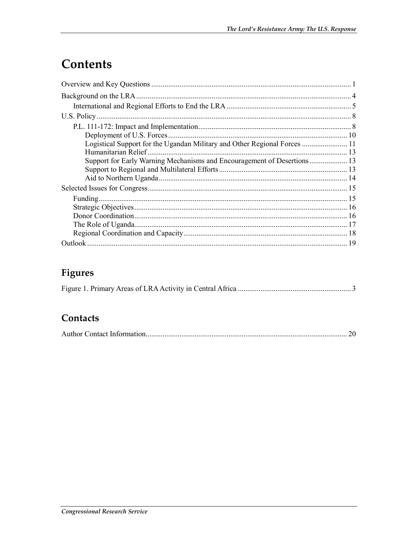## Contents

| Logistical Support for the Ugandan Military and Other Regional Forces  11 |  |
|---------------------------------------------------------------------------|--|
| Humanitarian Relief.                                                      |  |
|                                                                           |  |
|                                                                           |  |
|                                                                           |  |
|                                                                           |  |
|                                                                           |  |
|                                                                           |  |
|                                                                           |  |
|                                                                           |  |
|                                                                           |  |
|                                                                           |  |

## Figures

|--|--|--|--|

### Contacts

|--|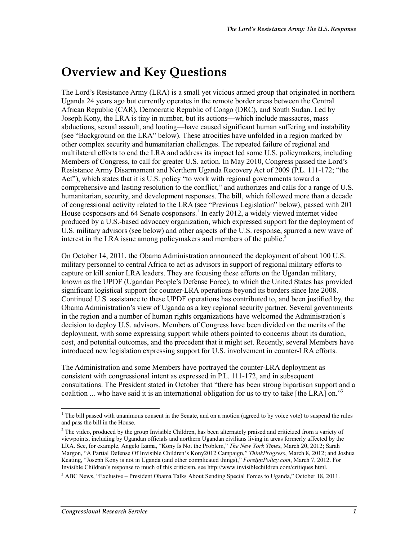## **Overview and Key Questions**

The Lord's Resistance Army (LRA) is a small yet vicious armed group that originated in northern Uganda 24 years ago but currently operates in the remote border areas between the Central African Republic (CAR), Democratic Republic of Congo (DRC), and South Sudan. Led by Joseph Kony, the LRA is tiny in number, but its actions—which include massacres, mass abductions, sexual assault, and looting—have caused significant human suffering and instability (see "Background on the LRA" below). These atrocities have unfolded in a region marked by other complex security and humanitarian challenges. The repeated failure of regional and multilateral efforts to end the LRA and address its impact led some U.S. policymakers, including Members of Congress, to call for greater U.S. action. In May 2010, Congress passed the Lord's Resistance Army Disarmament and Northern Uganda Recovery Act of 2009 (P.L. 111-172; "the Act"), which states that it is U.S. policy "to work with regional governments toward a comprehensive and lasting resolution to the conflict," and authorizes and calls for a range of U.S. humanitarian, security, and development responses. The bill, which followed more than a decade of congressional activity related to the LRA (see "Previous Legislation" below), passed with 201 House cosponsors and 64 Senate cosponsors.<sup>1</sup> In early 2012, a widely viewed internet video produced by a U.S.-based advocacy organization, which expressed support for the deployment of U.S. military advisors (see below) and other aspects of the U.S. response, spurred a new wave of interest in the LRA issue among policymakers and members of the public.<sup>2</sup>

On October 14, 2011, the Obama Administration announced the deployment of about 100 U.S. military personnel to central Africa to act as advisors in support of regional military efforts to capture or kill senior LRA leaders. They are focusing these efforts on the Ugandan military, known as the UPDF (Ugandan People's Defense Force), to which the United States has provided significant logistical support for counter-LRA operations beyond its borders since late 2008. Continued U.S. assistance to these UPDF operations has contributed to, and been justified by, the Obama Administration's view of Uganda as a key regional security partner. Several governments in the region and a number of human rights organizations have welcomed the Administration's decision to deploy U.S. advisors. Members of Congress have been divided on the merits of the deployment, with some expressing support while others pointed to concerns about its duration, cost, and potential outcomes, and the precedent that it might set. Recently, several Members have introduced new legislation expressing support for U.S. involvement in counter-LRA efforts.

The Administration and some Members have portrayed the counter-LRA deployment as consistent with congressional intent as expressed in P.L. 111-172, and in subsequent consultations. The President stated in October that "there has been strong bipartisan support and a coalition ... who have said it is an international obligation for us to try to take [the LRA] on."<sup>3</sup>

 $<sup>1</sup>$  The bill passed with unanimous consent in the Senate, and on a motion (agreed to by voice vote) to suspend the rules</sup> and pass the bill in the House.

 $2$  The video, produced by the group Invisible Children, has been alternately praised and criticized from a variety of viewpoints, including by Ugandan officials and northern Ugandan civilians living in areas formerly affected by the LRA. See, for example, Angelo Izama, "Kony Is Not the Problem," *The New York Times*, March 20, 2012; Sarah Margon, "A Partial Defense Of Invisible Children's Kony2012 Campaign," *ThinkProgress*, March 8, 2012; and Joshua Keating, "Joseph Kony is not in Uganda (and other complicated things)," *ForeignPolicy.com*, March 7, 2012. For Invisible Children's response to much of this criticism, see http://www.invisiblechildren.com/critiques.html.

<sup>&</sup>lt;sup>3</sup> ABC News, "Exclusive – President Obama Talks About Sending Special Forces to Uganda," October 18, 2011.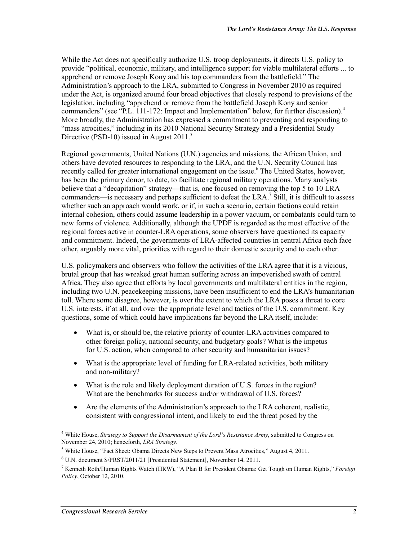While the Act does not specifically authorize U.S. troop deployments, it directs U.S. policy to provide "political, economic, military, and intelligence support for viable multilateral efforts ... to apprehend or remove Joseph Kony and his top commanders from the battlefield." The Administration's approach to the LRA, submitted to Congress in November 2010 as required under the Act, is organized around four broad objectives that closely respond to provisions of the legislation, including "apprehend or remove from the battlefield Joseph Kony and senior commanders" (see "P.L. 111-172: Impact and Implementation" below, for further discussion).<sup>4</sup> More broadly, the Administration has expressed a commitment to preventing and responding to "mass atrocities," including in its 2010 National Security Strategy and a Presidential Study Directive (PSD-10) issued in August  $2011<sup>5</sup>$ 

Regional governments, United Nations (U.N.) agencies and missions, the African Union, and others have devoted resources to responding to the LRA, and the U.N. Security Council has recently called for greater international engagement on the issue.<sup>6</sup> The United States, however, has been the primary donor, to date, to facilitate regional military operations. Many analysts believe that a "decapitation" strategy—that is, one focused on removing the top 5 to 10 LRA commanders—is necessary and perhaps sufficient to defeat the LRA.<sup>7</sup> Still, it is difficult to assess whether such an approach would work, or if, in such a scenario, certain factions could retain internal cohesion, others could assume leadership in a power vacuum, or combatants could turn to new forms of violence. Additionally, although the UPDF is regarded as the most effective of the regional forces active in counter-LRA operations, some observers have questioned its capacity and commitment. Indeed, the governments of LRA-affected countries in central Africa each face other, arguably more vital, priorities with regard to their domestic security and to each other.

U.S. policymakers and observers who follow the activities of the LRA agree that it is a vicious, brutal group that has wreaked great human suffering across an impoverished swath of central Africa. They also agree that efforts by local governments and multilateral entities in the region, including two U.N. peacekeeping missions, have been insufficient to end the LRA's humanitarian toll. Where some disagree, however, is over the extent to which the LRA poses a threat to core U.S. interests, if at all, and over the appropriate level and tactics of the U.S. commitment. Key questions, some of which could have implications far beyond the LRA itself, include:

- What is, or should be, the relative priority of counter-LRA activities compared to other foreign policy, national security, and budgetary goals? What is the impetus for U.S. action, when compared to other security and humanitarian issues?
- What is the appropriate level of funding for LRA-related activities, both military and non-military?
- What is the role and likely deployment duration of U.S. forces in the region? What are the benchmarks for success and/or withdrawal of U.S. forces?
- Are the elements of the Administration's approach to the LRA coherent, realistic, consistent with congressional intent, and likely to end the threat posed by the

<sup>4</sup> White House, *Strategy to Support the Disarmament of the Lord's Resistance Army*, submitted to Congress on November 24, 2010; henceforth, *LRA Strategy*.

<sup>&</sup>lt;sup>5</sup> White House, "Fact Sheet: Obama Directs New Steps to Prevent Mass Atrocities," August 4, 2011.

<sup>6</sup> U.N. document S/PRST/2011/21 [Presidential Statement], November 14, 2011.

<sup>7</sup> Kenneth Roth/Human Rights Watch (HRW), "A Plan B for President Obama: Get Tough on Human Rights," *Foreign Policy*, October 12, 2010.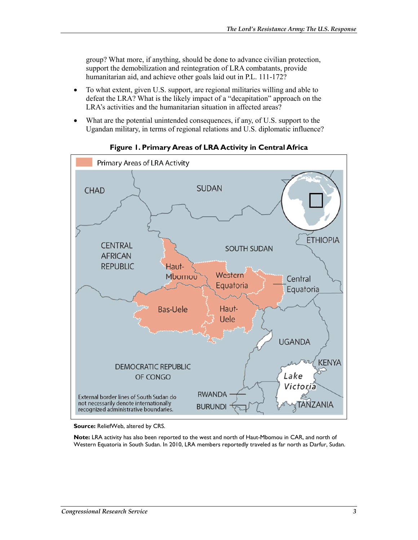group? What more, if anything, should be done to advance civilian protection, support the demobilization and reintegration of LRA combatants, provide humanitarian aid, and achieve other goals laid out in P.L. 111-172?

- To what extent, given U.S. support, are regional militaries willing and able to defeat the LRA? What is the likely impact of a "decapitation" approach on the LRA's activities and the humanitarian situation in affected areas?
- What are the potential unintended consequences, if any, of U.S. support to the Ugandan military, in terms of regional relations and U.S. diplomatic influence?



**Figure 1. Primary Areas of LRA Activity in Central Africa** 

**Source:** ReliefWeb, altered by CRS.

**Note:** LRA activity has also been reported to the west and north of Haut-Mbomou in CAR, and north of Western Equatoria in South Sudan. In 2010, LRA members reportedly traveled as far north as Darfur, Sudan.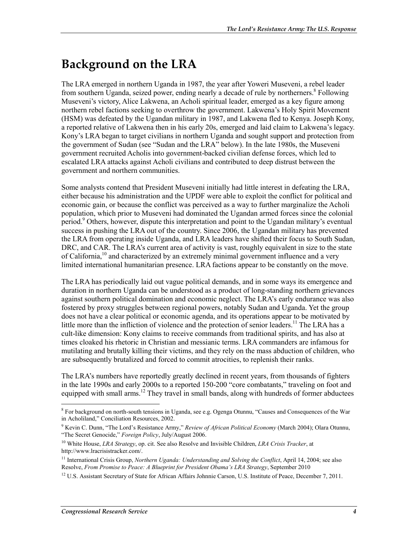## **Background on the LRA**

The LRA emerged in northern Uganda in 1987, the year after Yoweri Museveni, a rebel leader from southern Uganda, seized power, ending nearly a decade of rule by northerners.<sup>8</sup> Following Museveni's victory, Alice Lakwena, an Acholi spiritual leader, emerged as a key figure among northern rebel factions seeking to overthrow the government. Lakwena's Holy Spirit Movement (HSM) was defeated by the Ugandan military in 1987, and Lakwena fled to Kenya. Joseph Kony, a reported relative of Lakwena then in his early 20s, emerged and laid claim to Lakwena's legacy. Kony's LRA began to target civilians in northern Uganda and sought support and protection from the government of Sudan (see "Sudan and the LRA" below). In the late 1980s, the Museveni government recruited Acholis into government-backed civilian defense forces, which led to escalated LRA attacks against Acholi civilians and contributed to deep distrust between the government and northern communities.

Some analysts contend that President Museveni initially had little interest in defeating the LRA, either because his administration and the UPDF were able to exploit the conflict for political and economic gain, or because the conflict was perceived as a way to further marginalize the Acholi population, which prior to Museveni had dominated the Ugandan armed forces since the colonial period.<sup>9</sup> Others, however, dispute this interpretation and point to the Ugandan military's eventual success in pushing the LRA out of the country. Since 2006, the Ugandan military has prevented the LRA from operating inside Uganda, and LRA leaders have shifted their focus to South Sudan, DRC, and CAR. The LRA's current area of activity is vast, roughly equivalent in size to the state of California,<sup>10</sup> and characterized by an extremely minimal government influence and a very limited international humanitarian presence. LRA factions appear to be constantly on the move.

The LRA has periodically laid out vague political demands, and in some ways its emergence and duration in northern Uganda can be understood as a product of long-standing northern grievances against southern political domination and economic neglect. The LRA's early endurance was also fostered by proxy struggles between regional powers, notably Sudan and Uganda. Yet the group does not have a clear political or economic agenda, and its operations appear to be motivated by little more than the infliction of violence and the protection of senior leaders.<sup>11</sup> The LRA has a cult-like dimension: Kony claims to receive commands from traditional spirits, and has also at times cloaked his rhetoric in Christian and messianic terms. LRA commanders are infamous for mutilating and brutally killing their victims, and they rely on the mass abduction of children, who are subsequently brutalized and forced to commit atrocities, to replenish their ranks.

The LRA's numbers have reportedly greatly declined in recent years, from thousands of fighters in the late 1990s and early 2000s to a reported 150-200 "core combatants," traveling on foot and equipped with small arms.<sup>12</sup> They travel in small bands, along with hundreds of former abductees

<sup>&</sup>lt;sup>8</sup> For background on north-south tensions in Uganda, see e.g. Ogenga Otunnu, "Causes and Consequences of the War in Acholiland," Conciliation Resources, 2002.

<sup>9</sup> Kevin C. Dunn, "The Lord's Resistance Army," *Review of African Political Economy* (March 2004); Olara Otunnu, "The Secret Genocide," *Foreign Policy*, July/August 2006.

<sup>10</sup> White House, *LRA Strategy*, op. cit. See also Resolve and Invisible Children, *LRA Crisis Tracker*, at http://www.lracrisistracker.com/.

<sup>&</sup>lt;sup>11</sup> International Crisis Group, *Northern Uganda: Understanding and Solving the Conflict*, April 14, 2004; see also Resolve, *From Promise to Peace: A Blueprint for President Obama's LRA Strategy*, September 2010

 $12$  U.S. Assistant Secretary of State for African Affairs Johnnie Carson, U.S. Institute of Peace, December 7, 2011.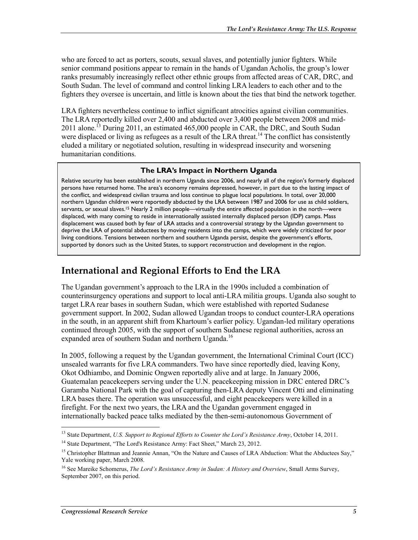who are forced to act as porters, scouts, sexual slaves, and potentially junior fighters. While senior command positions appear to remain in the hands of Ugandan Acholis, the group's lower ranks presumably increasingly reflect other ethnic groups from affected areas of CAR, DRC, and South Sudan. The level of command and control linking LRA leaders to each other and to the fighters they oversee is uncertain, and little is known about the ties that bind the network together.

LRA fighters nevertheless continue to inflict significant atrocities against civilian communities. The LRA reportedly killed over 2,400 and abducted over 3,400 people between 2008 and mid-2011 alone.<sup>13</sup> During 2011, an estimated 465,000 people in CAR, the DRC, and South Sudan were displaced or living as refugees as a result of the LRA threat.<sup>14</sup> The conflict has consistently eluded a military or negotiated solution, resulting in widespread insecurity and worsening humanitarian conditions.

#### **The LRA's Impact in Northern Uganda**

Relative security has been established in northern Uganda since 2006, and nearly all of the region's formerly displaced persons have returned home. The area's economy remains depressed, however, in part due to the lasting impact of the conflict, and widespread civilian trauma and loss continue to plague local populations. In total, over 20,000 northern Ugandan children were reportedly abducted by the LRA between 1987 and 2006 for use as child soldiers, servants, or sexual slaves.<sup>15</sup> Nearly 2 million people—virtually the entire affected population in the north—were displaced, with many coming to reside in internationally assisted internally displaced person (IDP) camps. Mass displacement was caused both by fear of LRA attacks and a controversial strategy by the Ugandan government to deprive the LRA of potential abductees by moving residents into the camps, which were widely criticized for poor living conditions. Tensions between northern and southern Uganda persist, despite the government's efforts, supported by donors such as the United States, to support reconstruction and development in the region.

### **International and Regional Efforts to End the LRA**

The Ugandan government's approach to the LRA in the 1990s included a combination of counterinsurgency operations and support to local anti-LRA militia groups. Uganda also sought to target LRA rear bases in southern Sudan, which were established with reported Sudanese government support. In 2002, Sudan allowed Ugandan troops to conduct counter-LRA operations in the south, in an apparent shift from Khartoum's earlier policy. Ugandan-led military operations continued through 2005, with the support of southern Sudanese regional authorities, across an expanded area of southern Sudan and northern Uganda.<sup>16</sup>

In 2005, following a request by the Ugandan government, the International Criminal Court (ICC) unsealed warrants for five LRA commanders. Two have since reportedly died, leaving Kony, Okot Odhiambo, and Dominic Ongwen reportedly alive and at large. In January 2006, Guatemalan peacekeepers serving under the U.N. peacekeeping mission in DRC entered DRC's Garamba National Park with the goal of capturing then-LRA deputy Vincent Otti and eliminating LRA bases there. The operation was unsuccessful, and eight peacekeepers were killed in a firefight. For the next two years, the LRA and the Ugandan government engaged in internationally backed peace talks mediated by the then-semi-autonomous Government of

<sup>13</sup> State Department, *U.S. Support to Regional Efforts to Counter the Lord's Resistance Army*, October 14, 2011.

<sup>&</sup>lt;sup>14</sup> State Department, "The Lord's Resistance Army: Fact Sheet," March 23, 2012.

<sup>&</sup>lt;sup>15</sup> Christopher Blattman and Jeannie Annan, "On the Nature and Causes of LRA Abduction: What the Abductees Say," Yale working paper, March 2008.

<sup>16</sup> See Mareike Schomerus, *The Lord's Resistance Army in Sudan: A History and Overview*, Small Arms Survey, September 2007, on this period.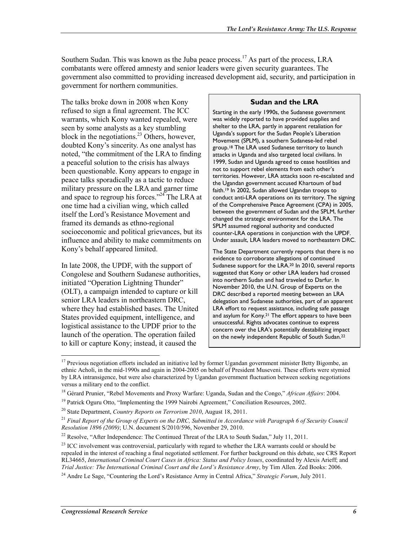Southern Sudan. This was known as the Juba peace process.<sup>17</sup> As part of the process, LRA combatants were offered amnesty and senior leaders were given security guarantees. The government also committed to providing increased development aid, security, and participation in government for northern communities.

The talks broke down in 2008 when Kony refused to sign a final agreement. The ICC warrants, which Kony wanted repealed, were seen by some analysts as a key stumbling block in the negotiations.<sup>23</sup> Others, however, doubted Kony's sincerity. As one analyst has noted, "the commitment of the LRA to finding a peaceful solution to the crisis has always been questionable. Kony appears to engage in peace talks sporadically as a tactic to reduce military pressure on the LRA and garner time and space to regroup his forces."<sup>24</sup> The LRA at one time had a civilian wing, which called itself the Lord's Resistance Movement and framed its demands as ethno-regional socioeconomic and political grievances, but its influence and ability to make commitments on Kony's behalf appeared limited.

In late 2008, the UPDF, with the support of Congolese and Southern Sudanese authorities, initiated "Operation Lightning Thunder" (OLT), a campaign intended to capture or kill senior LRA leaders in northeastern DRC, where they had established bases. The United States provided equipment, intelligence, and logistical assistance to the UPDF prior to the launch of the operation. The operation failed to kill or capture Kony; instead, it caused the

#### **Sudan and the LRA**

Starting in the early 1990s, the Sudanese government was widely reported to have provided supplies and shelter to the LRA, partly in apparent retaliation for Uganda's support for the Sudan People's Liberation Movement (SPLM), a southern Sudanese-led rebel group.18 The LRA used Sudanese territory to launch attacks in Uganda and also targeted local civilians. In 1999, Sudan and Uganda agreed to cease hostilities and not to support rebel elements from each other's territories. However, LRA attacks soon re-escalated and the Ugandan government accused Khartoum of bad faith.19 In 2002, Sudan allowed Ugandan troops to conduct anti-LRA operations on its territory. The signing of the Comprehensive Peace Agreement (CPA) in 2005, between the government of Sudan and the SPLM, further changed the strategic environment for the LRA. The SPLM assumed regional authority and conducted counter-LRA operations in conjunction with the UPDF. Under assault, LRA leaders moved to northeastern DRC.

The State Department currently reports that there is no evidence to corroborate allegations of continued Sudanese support for the LRA.20 In 2010, several reports suggested that Kony or other LRA leaders had crossed into northern Sudan and had traveled to Darfur. In November 2010, the U.N. Group of Experts on the DRC described a reported meeting between an LRA delegation and Sudanese authorities, part of an apparent LRA effort to request assistance, including safe passage and asylum for Kony.<sup>21</sup> The effort appears to have been unsuccessful. Rights advocates continue to express concern over the LRA's potentially destabilizing impact on the newly independent Republic of South Sudan.22

 $17$  Previous negotiation efforts included an initiative led by former Ugandan government minister Betty Bigombe, an ethnic Acholi, in the mid-1990s and again in 2004-2005 on behalf of President Museveni. These efforts were stymied by LRA intransigence, but were also characterized by Ugandan government fluctuation between seeking negotiations versus a military end to the conflict.

<sup>18</sup> Gérard Prunier, "Rebel Movements and Proxy Warfare: Uganda, Sudan and the Congo," *African Affairs*: 2004.

<sup>&</sup>lt;sup>19</sup> Patrick Oguru Otto, "Implementing the 1999 Nairobi Agreement," Conciliation Resources, 2002.

<sup>20</sup> State Department, *Country Reports on Terrorism 2010*, August 18, 2011.

<sup>21</sup> *Final Report of the Group of Experts on the DRC, Submitted in Accordance with Paragraph 6 of Security Council Resolution 1896 (2009)*; U.N. document S/2010/596, November 29, 2010.

<sup>&</sup>lt;sup>22</sup> Resolve, "After Independence: The Continued Threat of the LRA to South Sudan," July 11, 2011.

<sup>&</sup>lt;sup>23</sup> ICC involvement was controversial, particularly with regard to whether the LRA warrants could or should be repealed in the interest of reaching a final negotiated settlement. For further background on this debate, see CRS Report RL34665, *International Criminal Court Cases in Africa: Status and Policy Issues*, coordinated by Alexis Arieff; and *Trial Justice: The International Criminal Court and the Lord's Resistance Army*, by Tim Allen. Zed Books: 2006.

<sup>24</sup> Andre Le Sage, "Countering the Lord's Resistance Army in Central Africa," *Strategic Forum*, July 2011.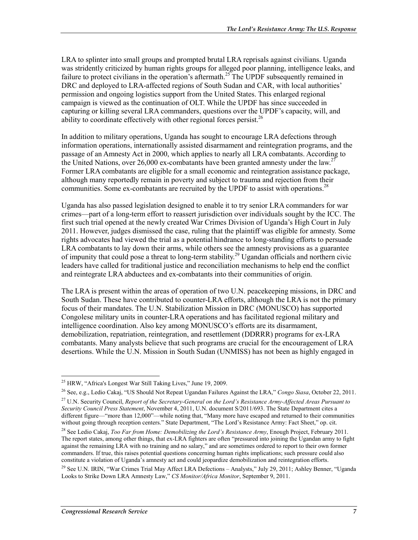LRA to splinter into small groups and prompted brutal LRA reprisals against civilians. Uganda was stridently criticized by human rights groups for alleged poor planning, intelligence leaks, and failure to protect civilians in the operation's aftermath.<sup>25</sup> The UPDF subsequently remained in DRC and deployed to LRA-affected regions of South Sudan and CAR, with local authorities' permission and ongoing logistics support from the United States. This enlarged regional campaign is viewed as the continuation of OLT. While the UPDF has since succeeded in capturing or killing several LRA commanders, questions over the UPDF's capacity, will, and ability to coordinate effectively with other regional forces persist.<sup>26</sup>

In addition to military operations, Uganda has sought to encourage LRA defections through information operations, internationally assisted disarmament and reintegration programs, and the passage of an Amnesty Act in 2000, which applies to nearly all LRA combatants. According to the United Nations, over 26,000 ex-combatants have been granted amnesty under the law.<sup>27</sup> Former LRA combatants are eligible for a small economic and reintegration assistance package, although many reportedly remain in poverty and subject to trauma and rejection from their communities. Some ex-combatants are recruited by the UPDF to assist with operations.<sup>28</sup>

Uganda has also passed legislation designed to enable it to try senior LRA commanders for war crimes—part of a long-term effort to reassert jurisdiction over individuals sought by the ICC. The first such trial opened at the newly created War Crimes Division of Uganda's High Court in July 2011. However, judges dismissed the case, ruling that the plaintiff was eligible for amnesty. Some rights advocates had viewed the trial as a potential hindrance to long-standing efforts to persuade LRA combatants to lay down their arms, while others see the amnesty provisions as a guarantee of impunity that could pose a threat to long-term stability.<sup>29</sup> Ugandan officials and northern civic leaders have called for traditional justice and reconciliation mechanisms to help end the conflict and reintegrate LRA abductees and ex-combatants into their communities of origin.

The LRA is present within the areas of operation of two U.N. peacekeeping missions, in DRC and South Sudan. These have contributed to counter-LRA efforts, although the LRA is not the primary focus of their mandates. The U.N. Stabilization Mission in DRC (MONUSCO) has supported Congolese military units in counter-LRA operations and has facilitated regional military and intelligence coordination. Also key among MONUSCO's efforts are its disarmament, demobilization, repatriation, reintegration, and resettlement (DDRRR) programs for ex-LRA combatants. Many analysts believe that such programs are crucial for the encouragement of LRA desertions. While the U.N. Mission in South Sudan (UNMISS) has not been as highly engaged in

<u>.</u>

 $^{25}$  HRW, "Africa's Longest War Still Taking Lives," June 19, 2009.

<sup>26</sup> See, e.g., Ledio Cakaj, "US Should Not Repeat Ugandan Failures Against the LRA," *Congo Siasa*, October 22, 2011.

<sup>27</sup> U.N. Security Council, *Report of the Secretary-General on the Lord's Resistance Army-Affected Areas Pursuant to Security Council Press Statement*, November 4, 2011, U.N. document S/2011/693. The State Department cites a different figure—"more than 12,000"—while noting that, "Many more have escaped and returned to their communities without going through reception centers." State Department, "The Lord's Resistance Army: Fact Sheet," op. cit.

<sup>28</sup> See Ledio Cakaj, *Too Far from Home: Demobilizing the Lord's Resistance Army*, Enough Project, February 2011. The report states, among other things, that ex-LRA fighters are often "pressured into joining the Ugandan army to fight against the remaining LRA with no training and no salary," and are sometimes ordered to report to their own former commanders. If true, this raises potential questions concerning human rights implications; such pressure could also constitute a violation of Uganda's amnesty act and could jeopardize demobilization and reintegration efforts.

<sup>&</sup>lt;sup>29</sup> See U.N. IRIN, "War Crimes Trial May Affect LRA Defections – Analysts," July 29, 2011; Ashley Benner, "Uganda" Looks to Strike Down LRA Amnesty Law," *CS Monitor/Africa Monitor*, September 9, 2011.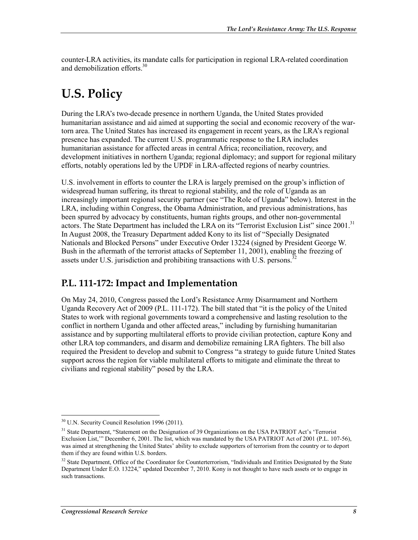counter-LRA activities, its mandate calls for participation in regional LRA-related coordination and demobilization efforts.<sup>30</sup>

## **U.S. Policy**

During the LRA's two-decade presence in northern Uganda, the United States provided humanitarian assistance and aid aimed at supporting the social and economic recovery of the wartorn area. The United States has increased its engagement in recent years, as the LRA's regional presence has expanded. The current U.S. programmatic response to the LRA includes humanitarian assistance for affected areas in central Africa; reconciliation, recovery, and development initiatives in northern Uganda; regional diplomacy; and support for regional military efforts, notably operations led by the UPDF in LRA-affected regions of nearby countries.

U.S. involvement in efforts to counter the LRA is largely premised on the group's infliction of widespread human suffering, its threat to regional stability, and the role of Uganda as an increasingly important regional security partner (see "The Role of Uganda" below). Interest in the LRA, including within Congress, the Obama Administration, and previous administrations, has been spurred by advocacy by constituents, human rights groups, and other non-governmental actors. The State Department has included the LRA on its "Terrorist Exclusion List" since 2001.<sup>31</sup> In August 2008, the Treasury Department added Kony to its list of "Specially Designated Nationals and Blocked Persons" under Executive Order 13224 (signed by President George W. Bush in the aftermath of the terrorist attacks of September 11, 2001), enabling the freezing of assets under U.S. jurisdiction and prohibiting transactions with U.S. persons.<sup>32</sup>

### **P.L. 111-172: Impact and Implementation**

On May 24, 2010, Congress passed the Lord's Resistance Army Disarmament and Northern Uganda Recovery Act of 2009 (P.L. 111-172). The bill stated that "it is the policy of the United States to work with regional governments toward a comprehensive and lasting resolution to the conflict in northern Uganda and other affected areas," including by furnishing humanitarian assistance and by supporting multilateral efforts to provide civilian protection, capture Kony and other LRA top commanders, and disarm and demobilize remaining LRA fighters. The bill also required the President to develop and submit to Congress "a strategy to guide future United States support across the region for viable multilateral efforts to mitigate and eliminate the threat to civilians and regional stability" posed by the LRA.

<sup>1</sup> <sup>30</sup> U.N. Security Council Resolution 1996 (2011).

<sup>&</sup>lt;sup>31</sup> State Department, "Statement on the Designation of 39 Organizations on the USA PATRIOT Act's 'Terrorist Exclusion List,'" December 6, 2001. The list, which was mandated by the USA PATRIOT Act of 2001 (P.L. 107-56), was aimed at strengthening the United States' ability to exclude supporters of terrorism from the country or to deport them if they are found within U.S. borders.

<sup>&</sup>lt;sup>32</sup> State Department, Office of the Coordinator for Counterterrorism, "Individuals and Entities Designated by the State Department Under E.O. 13224," updated December 7, 2010. Kony is not thought to have such assets or to engage in such transactions.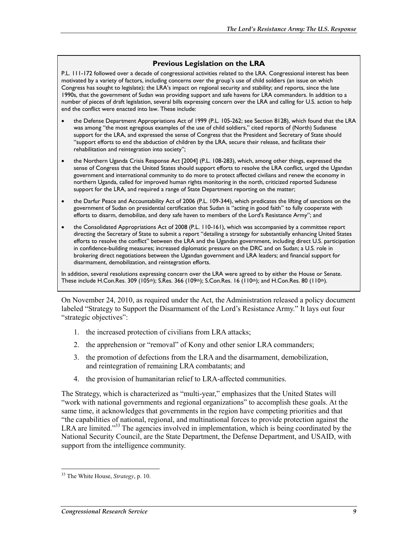#### **Previous Legislation on the LRA**

P.L. 111-172 followed over a decade of congressional activities related to the LRA. Congressional interest has been motivated by a variety of factors, including concerns over the group's use of child soldiers (an issue on which Congress has sought to legislate); the LRA's impact on regional security and stability; and reports, since the late 1990s, that the government of Sudan was providing support and safe havens for LRA commanders. In addition to a number of pieces of draft legislation, several bills expressing concern over the LRA and calling for U.S. action to help end the conflict were enacted into law. These include:

- the Defense Department Appropriations Act of 1999 (P.L. 105-262; see Section 8128), which found that the LRA was among "the most egregious examples of the use of child soldiers," cited reports of (North) Sudanese support for the LRA, and expressed the sense of Congress that the President and Secretary of State should "support efforts to end the abduction of children by the LRA, secure their release, and facilitate their rehabilitation and reintegration into society";
- the Northern Uganda Crisis Response Act [2004] (P.L. 108-283), which, among other things, expressed the sense of Congress that the United States should support efforts to resolve the LRA conflict, urged the Ugandan government and international community to do more to protect affected civilians and renew the economy in northern Uganda, called for improved human rights monitoring in the north, criticized reported Sudanese support for the LRA, and required a range of State Department reporting on the matter;
- the Darfur Peace and Accountability Act of 2006 (P.L. 109-344), which predicates the lifting of sanctions on the government of Sudan on presidential certification that Sudan is "acting in good faith" to fully cooperate with efforts to disarm, demobilize, and deny safe haven to members of the Lord's Resistance Army"; and
- the Consolidated Appropriations Act of 2008 (P.L. 110-161), which was accompanied by a committee report directing the Secretary of State to submit a report "detailing a strategy for substantially enhancing United States efforts to resolve the conflict" between the LRA and the Ugandan government, including direct U.S. participation in confidence-building measures; increased diplomatic pressure on the DRC and on Sudan; a U.S. role in brokering direct negotiations between the Ugandan government and LRA leaders; and financial support for disarmament, demobilization, and reintegration efforts.

In addition, several resolutions expressing concern over the LRA were agreed to by either the House or Senate. These include H.Con.Res. 309 (105th); S.Res. 366 (109th); S.Con.Res. 16 (110th); and H.Con.Res. 80 (110th).

On November 24, 2010, as required under the Act, the Administration released a policy document labeled "Strategy to Support the Disarmament of the Lord's Resistance Army." It lays out four "strategic objectives":

- 1. the increased protection of civilians from LRA attacks;
- 2. the apprehension or "removal" of Kony and other senior LRA commanders;
- 3. the promotion of defections from the LRA and the disarmament, demobilization, and reintegration of remaining LRA combatants; and
- 4. the provision of humanitarian relief to LRA-affected communities.

The Strategy, which is characterized as "multi-year," emphasizes that the United States will "work with national governments and regional organizations" to accomplish these goals. At the same time, it acknowledges that governments in the region have competing priorities and that "the capabilities of national, regional, and multinational forces to provide protection against the LRA are limited."<sup>33</sup> The agencies involved in implementation, which is being coordinated by the National Security Council, are the State Department, the Defense Department, and USAID, with support from the intelligence community.

<u>.</u>

<sup>33</sup> The White House, *Strategy*, p. 10.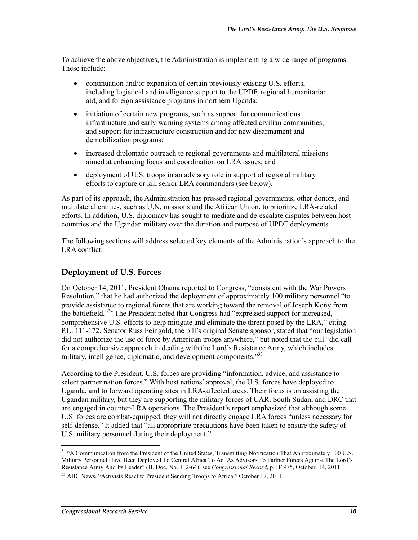To achieve the above objectives, the Administration is implementing a wide range of programs. These include:

- continuation and/or expansion of certain previously existing U.S. efforts, including logistical and intelligence support to the UPDF, regional humanitarian aid, and foreign assistance programs in northern Uganda;
- initiation of certain new programs, such as support for communications infrastructure and early-warning systems among affected civilian communities, and support for infrastructure construction and for new disarmament and demobilization programs;
- increased diplomatic outreach to regional governments and multilateral missions aimed at enhancing focus and coordination on LRA issues; and
- deployment of U.S. troops in an advisory role in support of regional military efforts to capture or kill senior LRA commanders (see below).

As part of its approach, the Administration has pressed regional governments, other donors, and multilateral entities, such as U.N. missions and the African Union, to prioritize LRA-related efforts. In addition, U.S. diplomacy has sought to mediate and de-escalate disputes between host countries and the Ugandan military over the duration and purpose of UPDF deployments.

The following sections will address selected key elements of the Administration's approach to the LRA conflict.

#### **Deployment of U.S. Forces**

On October 14, 2011, President Obama reported to Congress, "consistent with the War Powers Resolution," that he had authorized the deployment of approximately 100 military personnel "to provide assistance to regional forces that are working toward the removal of Joseph Kony from the battlefield."34 The President noted that Congress had "expressed support for increased, comprehensive U.S. efforts to help mitigate and eliminate the threat posed by the LRA," citing P.L. 111-172. Senator Russ Feingold, the bill's original Senate sponsor, stated that "our legislation did not authorize the use of force by American troops anywhere," but noted that the bill "did call for a comprehensive approach in dealing with the Lord's Resistance Army, which includes military, intelligence, diplomatic, and development components."<sup>35</sup>

According to the President, U.S. forces are providing "information, advice, and assistance to select partner nation forces." With host nations' approval, the U.S. forces have deployed to Uganda, and to forward operating sites in LRA-affected areas. Their focus is on assisting the Ugandan military, but they are supporting the military forces of CAR, South Sudan, and DRC that are engaged in counter-LRA operations. The President's report emphasized that although some U.S. forces are combat-equipped, they will not directly engage LRA forces "unless necessary for self-defense." It added that "all appropriate precautions have been taken to ensure the safety of U.S. military personnel during their deployment."

<sup>&</sup>lt;sup>34</sup> "A Communication from the President of the United States, Transmitting Notification That Approximately 100 U.S. Military Personnel Have Been Deployed To Central Africa To Act As Advisors To Partner Forces Against The Lord's Resistance Army And Its Leader" (H. Doc. No. 112-64); see *Congressional Record*, p. H6975, October. 14, 2011.

<sup>&</sup>lt;sup>35</sup> ABC News, "Activists React to President Sending Troops to Africa," October 17, 2011.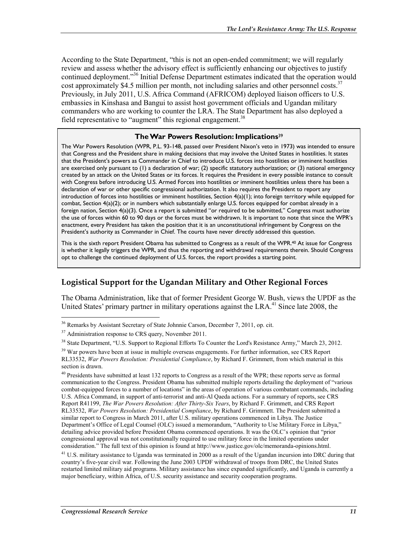According to the State Department, "this is not an open-ended commitment; we will regularly review and assess whether the advisory effect is sufficiently enhancing our objectives to justify continued deployment."36 Initial Defense Department estimates indicated that the operation would cost approximately \$4.5 million per month, not including salaries and other personnel costs.<sup>37</sup> Previously, in July 2011, U.S. Africa Command (AFRICOM) deployed liaison officers to U.S. embassies in Kinshasa and Bangui to assist host government officials and Ugandan military commanders who are working to counter the LRA. The State Department has also deployed a field representative to "augment" this regional engagement.<sup>38</sup>

#### **The War Powers Resolution: Implications**<sup>39</sup>

The War Powers Resolution (WPR, P.L. 93-148, passed over President Nixon's veto in 1973) was intended to ensure that Congress and the President share in making decisions that may involve the United States in hostilities. It states that the President's powers as Commander in Chief to introduce U.S. forces into hostilities or imminent hostilities are exercised only pursuant to (1) a declaration of war; (2) specific statutory authorization; or (3) national emergency created by an attack on the United States or its forces. It requires the President in every possible instance to consult with Congress before introducing U.S. Armed Forces into hostilities or imminent hostilities unless there has been a declaration of war or other specific congressional authorization. It also requires the President to report any introduction of forces into hostilities or imminent hostilities, Section 4(a)(1); into foreign territory while equipped for combat, Section 4(a)(2); or in numbers which substantially enlarge U.S. forces equipped for combat already in a foreign nation, Section 4(a)(3). Once a report is submitted "or required to be submitted," Congress must authorize the use of forces within 60 to 90 days or the forces must be withdrawn. It is important to note that since the WPR's enactment, every President has taken the position that it is an unconstitutional infringement by Congress on the President's authority as Commander in Chief. The courts have never directly addressed this question.

This is the sixth report President Obama has submitted to Congress as a result of the WPR.40 At issue for Congress is whether it legally triggers the WPR, and thus the reporting and withdrawal requirements therein. Should Congress opt to challenge the continued deployment of U.S. forces, the report provides a starting point.

#### **Logistical Support for the Ugandan Military and Other Regional Forces**

The Obama Administration, like that of former President George W. Bush, views the UPDF as the United States' primary partner in military operations against the  $LRA<sup>41</sup>$  Since late 2008, the

<u>.</u>

 $36$  Remarks by Assistant Secretary of State Johnnie Carson, December 7, 2011, op. cit.

<sup>&</sup>lt;sup>37</sup> Administration response to CRS query, November 2011.

<sup>&</sup>lt;sup>38</sup> State Department, "U.S. Support to Regional Efforts To Counter the Lord's Resistance Army," March 23, 2012.

<sup>&</sup>lt;sup>39</sup> War powers have been at issue in multiple overseas engagements. For further information, see CRS Report RL33532, *War Powers Resolution: Presidential Compliance*, by Richard F. Grimmett, from which material in this section is drawn.

<sup>&</sup>lt;sup>40</sup> Presidents have submitted at least 132 reports to Congress as a result of the WPR; these reports serve as formal communication to the Congress. President Obama has submitted multiple reports detailing the deployment of "various combat-equipped forces to a number of locations" in the areas of operation of various combatant commands, including U.S. Africa Command, in support of anti-terrorist and anti-Al Qaeda actions. For a summary of reports, see CRS Report R41199, *The War Powers Resolution: After Thirty-Six Years*, by Richard F. Grimmett, and CRS Report RL33532, *War Powers Resolution: Presidential Compliance*, by Richard F. Grimmett. The President submitted a similar report to Congress in March 2011, after U.S. military operations commenced in Libya. The Justice Department's Office of Legal Counsel (OLC) issued a memorandum, "Authority to Use Military Force in Libya," detailing advice provided before President Obama commenced operations. It was the OLC's opinion that "prior congressional approval was not constitutionally required to use military force in the limited operations under consideration." The full text of this opinion is found at http://www.justice.gov/olc/memoranda-opinions.html.

<sup>&</sup>lt;sup>41</sup> U.S. military assistance to Uganda was terminated in 2000 as a result of the Ugandan incursion into DRC during that country's five-year civil war. Following the June 2003 UPDF withdrawal of troops from DRC, the United States restarted limited military aid programs. Military assistance has since expanded significantly, and Uganda is currently a major beneficiary, within Africa, of U.S. security assistance and security cooperation programs.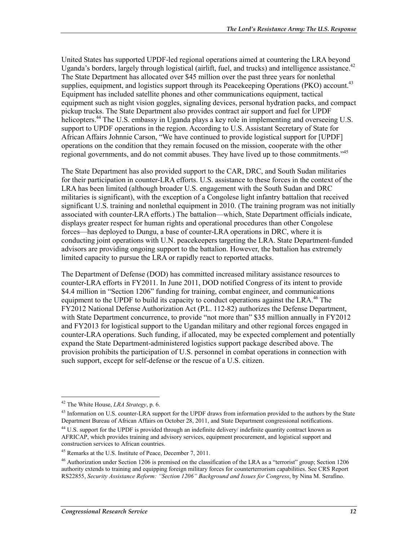United States has supported UPDF-led regional operations aimed at countering the LRA beyond Uganda's borders, largely through logistical (airlift, fuel, and trucks) and intelligence assistance.<sup>42</sup> The State Department has allocated over \$45 million over the past three years for nonlethal supplies, equipment, and logistics support through its Peacekeeping Operations (PKO) account.<sup>43</sup> Equipment has included satellite phones and other communications equipment, tactical equipment such as night vision goggles, signaling devices, personal hydration packs, and compact pickup trucks. The State Department also provides contract air support and fuel for UPDF helicopters.<sup>44</sup> The U.S. embassy in Uganda plays a key role in implementing and overseeing U.S. support to UPDF operations in the region. According to U.S. Assistant Secretary of State for African Affairs Johnnie Carson, "We have continued to provide logistical support for [UPDF] operations on the condition that they remain focused on the mission, cooperate with the other regional governments, and do not commit abuses. They have lived up to those commitments."45

The State Department has also provided support to the CAR, DRC, and South Sudan militaries for their participation in counter-LRA efforts. U.S. assistance to these forces in the context of the LRA has been limited (although broader U.S. engagement with the South Sudan and DRC militaries is significant), with the exception of a Congolese light infantry battalion that received significant U.S. training and nonlethal equipment in 2010. (The training program was not initially associated with counter-LRA efforts.) The battalion—which, State Department officials indicate, displays greater respect for human rights and operational procedures than other Congolese forces—has deployed to Dungu, a base of counter-LRA operations in DRC, where it is conducting joint operations with U.N. peacekeepers targeting the LRA. State Department-funded advisors are providing ongoing support to the battalion. However, the battalion has extremely limited capacity to pursue the LRA or rapidly react to reported attacks.

The Department of Defense (DOD) has committed increased military assistance resources to counter-LRA efforts in FY2011. In June 2011, DOD notified Congress of its intent to provide \$4.4 million in "Section 1206" funding for training, combat engineer, and communications equipment to the UPDF to build its capacity to conduct operations against the LRA.<sup>46</sup> The FY2012 National Defense Authorization Act (P.L. 112-82) authorizes the Defense Department, with State Department concurrence, to provide "not more than" \$35 million annually in FY2012 and FY2013 for logistical support to the Ugandan military and other regional forces engaged in counter-LRA operations. Such funding, if allocated, may be expected complement and potentially expand the State Department-administered logistics support package described above. The provision prohibits the participation of U.S. personnel in combat operations in connection with such support, except for self-defense or the rescue of a U.S. citizen.

<sup>42</sup> The White House, *LRA Strategy*, p. 6.

<sup>&</sup>lt;sup>43</sup> Information on U.S. counter-LRA support for the UPDF draws from information provided to the authors by the State Department Bureau of African Affairs on October 28, 2011, and State Department congressional notifications.

<sup>&</sup>lt;sup>44</sup> U.S. support for the UPDF is provided through an indefinite delivery/ indefinite quantity contract known as AFRICAP, which provides training and advisory services, equipment procurement, and logistical support and construction services to African countries.

<sup>45</sup> Remarks at the U.S. Institute of Peace, December 7, 2011.

<sup>46</sup> Authorization under Section 1206 is premised on the classification of the LRA as a "terrorist" group; Section 1206 authority extends to training and equipping foreign military forces for counterterrorism capabilities. See CRS Report RS22855, *Security Assistance Reform: "Section 1206" Background and Issues for Congress*, by Nina M. Serafino.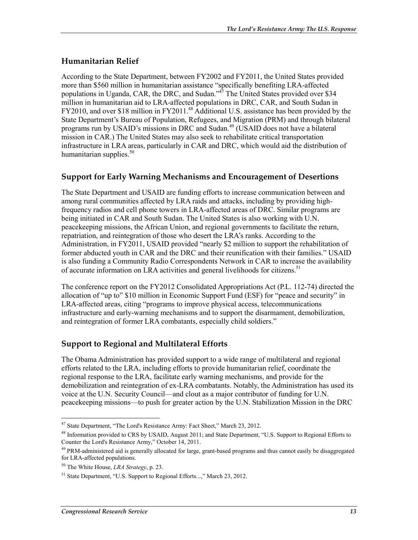#### **Humanitarian Relief**

According to the State Department, between FY2002 and FY2011, the United States provided more than \$560 million in humanitarian assistance "specifically benefiting LRA-affected populations in Uganda, CAR, the DRC, and Sudan."<sup>47</sup> The United States provided over \$34 million in humanitarian aid to LRA-affected populations in DRC, CAR, and South Sudan in FY2010, and over \$18 million in FY2011.<sup>48</sup> Additional U.S. assistance has been provided by the State Department's Bureau of Population, Refugees, and Migration (PRM) and through bilateral programs run by USAID's missions in DRC and Sudan.<sup>49</sup> (USAID does not have a bilateral mission in CAR.) The United States may also seek to rehabilitate critical transportation infrastructure in LRA areas, particularly in CAR and DRC, which would aid the distribution of humanitarian supplies. $50$ 

#### **Support for Early Warning Mechanisms and Encouragement of Desertions**

The State Department and USAID are funding efforts to increase communication between and among rural communities affected by LRA raids and attacks, including by providing highfrequency radios and cell phone towers in LRA-affected areas of DRC. Similar programs are being initiated in CAR and South Sudan. The United States is also working with U.N. peacekeeping missions, the African Union, and regional governments to facilitate the return, repatriation, and reintegration of those who desert the LRA's ranks. According to the Administration, in FY2011, USAID provided "nearly \$2 million to support the rehabilitation of former abducted youth in CAR and the DRC and their reunification with their families." USAID is also funding a Community Radio Correspondents Network in CAR to increase the availability of accurate information on LRA activities and general livelihoods for citizens.<sup>51</sup>

The conference report on the FY2012 Consolidated Appropriations Act (P.L. 112-74) directed the allocation of "up to" \$10 million in Economic Support Fund (ESF) for "peace and security" in LRA-affected areas, citing "programs to improve physical access, telecommunications infrastructure and early-warning mechanisms and to support the disarmament, demobilization, and reintegration of former LRA combatants, especially child soldiers."

#### **Support to Regional and Multilateral Efforts**

The Obama Administration has provided support to a wide range of multilateral and regional efforts related to the LRA, including efforts to provide humanitarian relief, coordinate the regional response to the LRA, facilitate early warning mechanisms, and provide for the demobilization and reintegration of ex-LRA combatants. Notably, the Administration has used its voice at the U.N. Security Council—and clout as a major contributor of funding for U.N. peacekeeping missions—to push for greater action by the U.N. Stabilization Mission in the DRC

<sup>1</sup> <sup>47</sup> State Department, "The Lord's Resistance Army: Fact Sheet," March 23, 2012.

<sup>&</sup>lt;sup>48</sup> Information provided to CRS by USAID, August 2011; and State Department, "U.S. Support to Regional Efforts to Counter the Lord's Resistance Army," October 14, 2011.

<sup>&</sup>lt;sup>49</sup> PRM-administered aid is generally allocated for large, grant-based programs and thus cannot easily be disaggregated for LRA-affected populations.

<sup>50</sup> The White House, *LRA Strategy*, p. 23.

<sup>&</sup>lt;sup>51</sup> State Department, "U.S. Support to Regional Efforts...," March 23, 2012.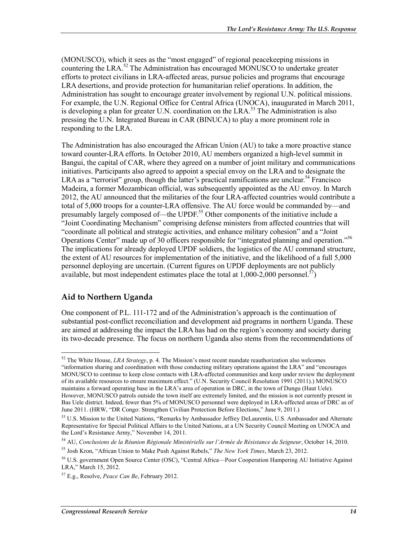(MONUSCO), which it sees as the "most engaged" of regional peacekeeping missions in countering the LRA.52 The Administration has encouraged MONUSCO to undertake greater efforts to protect civilians in LRA-affected areas, pursue policies and programs that encourage LRA desertions, and provide protection for humanitarian relief operations. In addition, the Administration has sought to encourage greater involvement by regional U.N. political missions. For example, the U.N. Regional Office for Central Africa (UNOCA), inaugurated in March 2011, is developing a plan for greater U.N. coordination on the LRA.<sup>53</sup> The Administration is also pressing the U.N. Integrated Bureau in CAR (BINUCA) to play a more prominent role in responding to the LRA.

The Administration has also encouraged the African Union (AU) to take a more proactive stance toward counter-LRA efforts. In October 2010, AU members organized a high-level summit in Bangui, the capital of CAR, where they agreed on a number of joint military and communications initiatives. Participants also agreed to appoint a special envoy on the LRA and to designate the LRA as a "terrorist" group, though the latter's practical ramifications are unclear.<sup>54</sup> Francisco Madeira, a former Mozambican official, was subsequently appointed as the AU envoy. In March 2012, the AU announced that the militaries of the four LRA-affected countries would contribute a total of 5,000 troops for a counter-LRA offensive. The AU force would be commanded by—and presumably largely composed of—the UPDF.<sup>55</sup> Other components of the initiative include a "Joint Coordinating Mechanism" comprising defense ministers from affected countries that will "coordinate all political and strategic activities, and enhance military cohesion" and a "Joint Operations Center" made up of 30 officers responsible for "integrated planning and operation."56 The implications for already deployed UPDF soldiers, the logistics of the AU command structure, the extent of AU resources for implementation of the initiative, and the likelihood of a full 5,000 personnel deploying are uncertain. (Current figures on UPDF deployments are not publicly available, but most independent estimates place the total at  $1,000$ -2,000 personnel.<sup>57</sup>)

#### **Aid to Northern Uganda**

<u>.</u>

One component of P.L. 111-172 and of the Administration's approach is the continuation of substantial post-conflict reconciliation and development aid programs in northern Uganda. These are aimed at addressing the impact the LRA has had on the region's economy and society during its two-decade presence. The focus on northern Uganda also stems from the recommendations of

<sup>52</sup> The White House, *LRA Strategy*, p. 4. The Mission's most recent mandate reauthorization also welcomes "information sharing and coordination with those conducting military operations against the LRA" and "encourages MONUSCO to continue to keep close contacts with LRA-affected communities and keep under review the deployment of its available resources to ensure maximum effect." (U.N. Security Council Resolution 1991 (2011).) MONUSCO maintains a forward operating base in the LRA's area of operation in DRC, in the town of Dungu (Haut Uele). However, MONUSCO patrols outside the town itself are extremely limited, and the mission is not currently present in Bas Uele district. Indeed, fewer than 5% of MONUSCO personnel were deployed in LRA-affected areas of DRC as of June 2011. (HRW, "DR Congo: Strengthen Civilian Protection Before Elections," June 9, 2011.)

<sup>53</sup> U.S. Mission to the United Nations, "Remarks by Ambassador Jeffrey DeLaurentis, U.S. Ambassador and Alternate Representative for Special Political Affairs to the United Nations, at a UN Security Council Meeting on UNOCA and the Lord's Resistance Army," November 14, 2011.

<sup>54</sup> AU, *Conclusions de la Réunion Régionale Ministérielle sur l'Armée de Résistance du Seigneur*, October 14, 2010.

<sup>55</sup> Josh Kron, "African Union to Make Push Against Rebels," *The New York Times*, March 23, 2012.

<sup>56</sup> U.S. government Open Source Center (OSC), "Central Africa—Poor Cooperation Hampering AU Initiative Against LRA," March 15, 2012.

<sup>57</sup> E.g., Resolve, *Peace Can Be*, February 2012.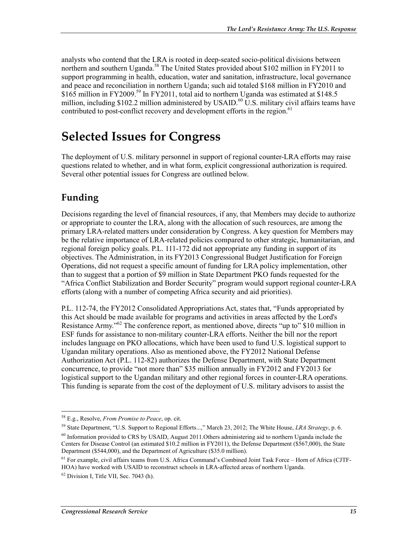analysts who contend that the LRA is rooted in deep-seated socio-political divisions between northern and southern Uganda.<sup>58</sup> The United States provided about \$102 million in FY2011 to support programming in health, education, water and sanitation, infrastructure, local governance and peace and reconciliation in northern Uganda; such aid totaled \$168 million in FY2010 and \$165 million in FY2009.<sup>59</sup> In FY2011, total aid to northern Uganda was estimated at \$148.5 million, including \$102.2 million administered by USAID.<sup>60</sup> U.S. military civil affairs teams have contributed to post-conflict recovery and development efforts in the region.<sup>61</sup>

## **Selected Issues for Congress**

The deployment of U.S. military personnel in support of regional counter-LRA efforts may raise questions related to whether, and in what form, explicit congressional authorization is required. Several other potential issues for Congress are outlined below.

### **Funding**

Decisions regarding the level of financial resources, if any, that Members may decide to authorize or appropriate to counter the LRA, along with the allocation of such resources, are among the primary LRA-related matters under consideration by Congress. A key question for Members may be the relative importance of LRA-related policies compared to other strategic, humanitarian, and regional foreign policy goals. P.L. 111-172 did not appropriate any funding in support of its objectives. The Administration, in its FY2013 Congressional Budget Justification for Foreign Operations, did not request a specific amount of funding for LRA policy implementation, other than to suggest that a portion of \$9 million in State Department PKO funds requested for the "Africa Conflict Stabilization and Border Security" program would support regional counter-LRA efforts (along with a number of competing Africa security and aid priorities).

P.L. 112-74, the FY2012 Consolidated Appropriations Act, states that, "Funds appropriated by this Act should be made available for programs and activities in areas affected by the Lord's Resistance Army."<sup>62</sup> The conference report, as mentioned above, directs "up to" \$10 million in ESF funds for assistance to non-military counter-LRA efforts. Neither the bill nor the report includes language on PKO allocations, which have been used to fund U.S. logistical support to Ugandan military operations. Also as mentioned above, the FY2012 National Defense Authorization Act (P.L. 112-82) authorizes the Defense Department, with State Department concurrence, to provide "not more than" \$35 million annually in FY2012 and FY2013 for logistical support to the Ugandan military and other regional forces in counter-LRA operations. This funding is separate from the cost of the deployment of U.S. military advisors to assist the

<sup>58</sup> E.g., Resolve, *From Promise to Peace*, op. cit.

<sup>59</sup> State Department, "U.S. Support to Regional Efforts...," March 23, 2012; The White House, *LRA Strategy*, p. 6.

<sup>60</sup> Information provided to CRS by USAID, August 2011.Others administering aid to northern Uganda include the Centers for Disease Control (an estimated \$10.2 million in FY2011), the Defense Department (\$567,000), the State Department (\$544,000), and the Department of Agriculture (\$35.0 million).

<sup>&</sup>lt;sup>61</sup> For example, civil affairs teams from U.S. Africa Command's Combined Joint Task Force – Horn of Africa (CJTF-HOA) have worked with USAID to reconstruct schools in LRA-affected areas of northern Uganda.

 $62$  Division I, Title VII, Sec. 7043 (h).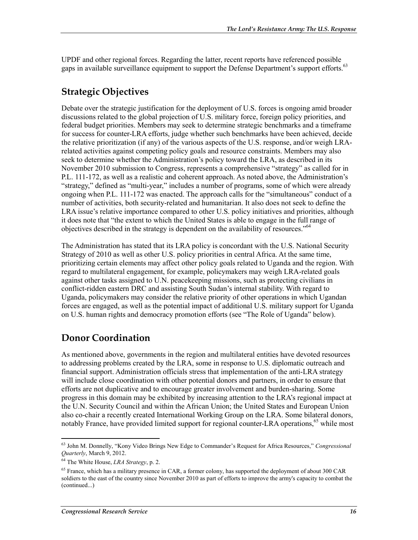UPDF and other regional forces. Regarding the latter, recent reports have referenced possible gaps in available surveillance equipment to support the Defense Department's support efforts.<sup>63</sup>

### **Strategic Objectives**

Debate over the strategic justification for the deployment of U.S. forces is ongoing amid broader discussions related to the global projection of U.S. military force, foreign policy priorities, and federal budget priorities. Members may seek to determine strategic benchmarks and a timeframe for success for counter-LRA efforts, judge whether such benchmarks have been achieved, decide the relative prioritization (if any) of the various aspects of the U.S. response, and/or weigh LRArelated activities against competing policy goals and resource constraints. Members may also seek to determine whether the Administration's policy toward the LRA, as described in its November 2010 submission to Congress, represents a comprehensive "strategy" as called for in P.L. 111-172, as well as a realistic and coherent approach. As noted above, the Administration's "strategy," defined as "multi-year," includes a number of programs, some of which were already ongoing when P.L. 111-172 was enacted. The approach calls for the "simultaneous" conduct of a number of activities, both security-related and humanitarian. It also does not seek to define the LRA issue's relative importance compared to other U.S. policy initiatives and priorities, although it does note that "the extent to which the United States is able to engage in the full range of objectives described in the strategy is dependent on the availability of resources."<sup>64</sup>

The Administration has stated that its LRA policy is concordant with the U.S. National Security Strategy of 2010 as well as other U.S. policy priorities in central Africa. At the same time, prioritizing certain elements may affect other policy goals related to Uganda and the region. With regard to multilateral engagement, for example, policymakers may weigh LRA-related goals against other tasks assigned to U.N. peacekeeping missions, such as protecting civilians in conflict-ridden eastern DRC and assisting South Sudan's internal stability. With regard to Uganda, policymakers may consider the relative priority of other operations in which Ugandan forces are engaged, as well as the potential impact of additional U.S. military support for Uganda on U.S. human rights and democracy promotion efforts (see "The Role of Uganda" below).

### **Donor Coordination**

As mentioned above, governments in the region and multilateral entities have devoted resources to addressing problems created by the LRA, some in response to U.S. diplomatic outreach and financial support. Administration officials stress that implementation of the anti-LRA strategy will include close coordination with other potential donors and partners, in order to ensure that efforts are not duplicative and to encourage greater involvement and burden-sharing. Some progress in this domain may be exhibited by increasing attention to the LRA's regional impact at the U.N. Security Council and within the African Union; the United States and European Union also co-chair a recently created International Working Group on the LRA. Some bilateral donors, notably France, have provided limited support for regional counter-LRA operations,<sup>65</sup> while most

<sup>63</sup> John M. Donnelly, "Kony Video Brings New Edge to Commander's Request for Africa Resources," *Congressional Quarterly*, March 9, 2012.

<sup>64</sup> The White House, *LRA Strategy*, p. 2.

<sup>&</sup>lt;sup>65</sup> France, which has a military presence in CAR, a former colony, has supported the deployment of about 300 CAR soldiers to the east of the country since November 2010 as part of efforts to improve the army's capacity to combat the (continued...)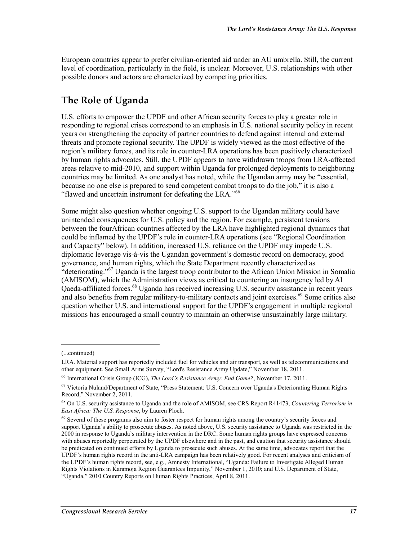European countries appear to prefer civilian-oriented aid under an AU umbrella. Still, the current level of coordination, particularly in the field, is unclear. Moreover, U.S. relationships with other possible donors and actors are characterized by competing priorities.

### **The Role of Uganda**

U.S. efforts to empower the UPDF and other African security forces to play a greater role in responding to regional crises correspond to an emphasis in U.S. national security policy in recent years on strengthening the capacity of partner countries to defend against internal and external threats and promote regional security. The UPDF is widely viewed as the most effective of the region's military forces, and its role in counter-LRA operations has been positively characterized by human rights advocates. Still, the UPDF appears to have withdrawn troops from LRA-affected areas relative to mid-2010, and support within Uganda for prolonged deployments to neighboring countries may be limited. As one analyst has noted, while the Ugandan army may be "essential, because no one else is prepared to send competent combat troops to do the job," it is also a "flawed and uncertain instrument for defeating the LRA."66

Some might also question whether ongoing U.S. support to the Ugandan military could have unintended consequences for U.S. policy and the region. For example, persistent tensions between the fourAfrican countries affected by the LRA have highlighted regional dynamics that could be inflamed by the UPDF's role in counter-LRA operations (see "Regional Coordination and Capacity" below). In addition, increased U.S. reliance on the UPDF may impede U.S. diplomatic leverage vis-à-vis the Ugandan government's domestic record on democracy, good governance, and human rights, which the State Department recently characterized as "deteriorating."<sup>67</sup> Uganda is the largest troop contributor to the African Union Mission in Somalia (AMISOM), which the Administration views as critical to countering an insurgency led by Al Qaeda-affiliated forces.<sup>68</sup> Uganda has received increasing U.S. security assistance in recent years and also benefits from regular military-to-military contacts and joint exercises.<sup>69</sup> Some critics also question whether U.S. and international support for the UPDF's engagement in multiple regional missions has encouraged a small country to maintain an otherwise unsustainably large military.

 $\overline{a}$ 

<sup>(...</sup>continued)

LRA. Material support has reportedly included fuel for vehicles and air transport, as well as telecommunications and other equipment. See Small Arms Survey, "Lord's Resistance Army Update," November 18, 2011.

<sup>66</sup> International Crisis Group (ICG), *The Lord's Resistance Army: End Game?*, November 17, 2011.

<sup>&</sup>lt;sup>67</sup> Victoria Nuland/Department of State, "Press Statement: U.S. Concern over Uganda's Deteriorating Human Rights Record," November 2, 2011.

<sup>68</sup> On U.S. security assistance to Uganda and the role of AMISOM, see CRS Report R41473, *Countering Terrorism in East Africa: The U.S. Response*, by Lauren Ploch.

 $69$  Several of these programs also aim to foster respect for human rights among the country's security forces and support Uganda's ability to prosecute abuses. As noted above, U.S. security assistance to Uganda was restricted in the 2000 in response to Uganda's military intervention in the DRC. Some human rights groups have expressed concerns with abuses reportedly perpetrated by the UPDF elsewhere and in the past, and caution that security assistance should be predicated on continued efforts by Uganda to prosecute such abuses. At the same time, advocates report that the UPDF's human rights record in the anti-LRA campaign has been relatively good. For recent analyses and criticism of the UPDF's human rights record, see, e.g., Amnesty International, "Uganda: Failure to Investigate Alleged Human Rights Violations in Karamoja Region Guarantees Impunity," November 1, 2010; and U.S. Department of State, "Uganda," 2010 Country Reports on Human Rights Practices, April 8, 2011.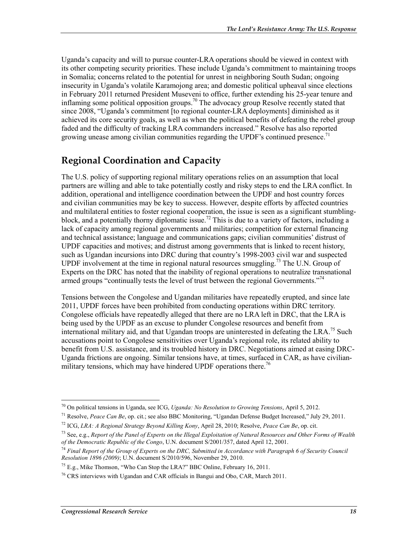Uganda's capacity and will to pursue counter-LRA operations should be viewed in context with its other competing security priorities. These include Uganda's commitment to maintaining troops in Somalia; concerns related to the potential for unrest in neighboring South Sudan; ongoing insecurity in Uganda's volatile Karamojong area; and domestic political upheaval since elections in February 2011 returned President Museveni to office, further extending his 25-year tenure and inflaming some political opposition groups.<sup>70</sup> The advocacy group Resolve recently stated that since 2008, "Uganda's commitment [to regional counter-LRA deployments] diminished as it achieved its core security goals, as well as when the political benefits of defeating the rebel group faded and the difficulty of tracking LRA commanders increased." Resolve has also reported growing unease among civilian communities regarding the UPDF's continued presence.<sup>71</sup>

### **Regional Coordination and Capacity**

The U.S. policy of supporting regional military operations relies on an assumption that local partners are willing and able to take potentially costly and risky steps to end the LRA conflict. In addition, operational and intelligence coordination between the UPDF and host country forces and civilian communities may be key to success. However, despite efforts by affected countries and multilateral entities to foster regional cooperation, the issue is seen as a significant stumblingblock, and a potentially thorny diplomatic issue.<sup>72</sup> This is due to a variety of factors, including a lack of capacity among regional governments and militaries; competition for external financing and technical assistance; language and communications gaps; civilian communities' distrust of UPDF capacities and motives; and distrust among governments that is linked to recent history, such as Ugandan incursions into DRC during that country's 1998-2003 civil war and suspected UPDF involvement at the time in regional natural resources smuggling.<sup>73</sup> The U.N. Group of Experts on the DRC has noted that the inability of regional operations to neutralize transnational armed groups "continually tests the level of trust between the regional Governments."<sup>74</sup>

Tensions between the Congolese and Ugandan militaries have repeatedly erupted, and since late 2011, UPDF forces have been prohibited from conducting operations within DRC territory. Congolese officials have repeatedly alleged that there are no LRA left in DRC, that the LRA is being used by the UPDF as an excuse to plunder Congolese resources and benefit from international military aid, and that Ugandan troops are uninterested in defeating the LRA.<sup>75</sup> Such accusations point to Congolese sensitivities over Uganda's regional role, its related ability to benefit from U.S. assistance, and its troubled history in DRC. Negotiations aimed at easing DRC-Uganda frictions are ongoing. Similar tensions have, at times, surfaced in CAR, as have civilianmilitary tensions, which may have hindered UPDF operations there.<sup>76</sup>

<sup>70</sup> On political tensions in Uganda, see ICG, *Uganda: No Resolution to Growing Tensions*, April 5, 2012.

<sup>71</sup> Resolve, *Peace Can Be*, op. cit.; see also BBC Monitoring, "Ugandan Defense Budget Increased," July 29, 2011.

<sup>72</sup> ICG, *LRA: A Regional Strategy Beyond Killing Kony*, April 28, 2010; Resolve, *Peace Can Be*, op. cit.

<sup>73</sup> See, e.g., *Report of the Panel of Experts on the Illegal Exploitation of Natural Resources and Other Forms of Wealth of the Democratic Republic of the Congo*, U.N. document S/2001/357, dated April 12, 2001.

<sup>74</sup> *Final Report of the Group of Experts on the DRC, Submitted in Accordance with Paragraph 6 of Security Council Resolution 1896 (2009)*; U.N. document S/2010/596, November 29, 2010.

 $^{75}$  E.g., Mike Thomson, "Who Can Stop the LRA?" BBC Online, February 16, 2011.

 $76$  CRS interviews with Ugandan and CAR officials in Bangui and Obo, CAR, March 2011.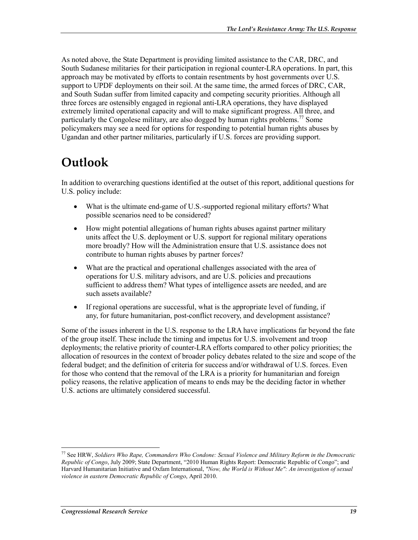As noted above, the State Department is providing limited assistance to the CAR, DRC, and South Sudanese militaries for their participation in regional counter-LRA operations. In part, this approach may be motivated by efforts to contain resentments by host governments over U.S. support to UPDF deployments on their soil. At the same time, the armed forces of DRC, CAR, and South Sudan suffer from limited capacity and competing security priorities. Although all three forces are ostensibly engaged in regional anti-LRA operations, they have displayed extremely limited operational capacity and will to make significant progress. All three, and particularly the Congolese military, are also dogged by human rights problems.<sup>77</sup> Some policymakers may see a need for options for responding to potential human rights abuses by Ugandan and other partner militaries, particularly if U.S. forces are providing support.

## **Outlook**

In addition to overarching questions identified at the outset of this report, additional questions for U.S. policy include:

- What is the ultimate end-game of U.S.-supported regional military efforts? What possible scenarios need to be considered?
- How might potential allegations of human rights abuses against partner military units affect the U.S. deployment or U.S. support for regional military operations more broadly? How will the Administration ensure that U.S. assistance does not contribute to human rights abuses by partner forces?
- What are the practical and operational challenges associated with the area of operations for U.S. military advisors, and are U.S. policies and precautions sufficient to address them? What types of intelligence assets are needed, and are such assets available?
- If regional operations are successful, what is the appropriate level of funding, if any, for future humanitarian, post-conflict recovery, and development assistance?

Some of the issues inherent in the U.S. response to the LRA have implications far beyond the fate of the group itself. These include the timing and impetus for U.S. involvement and troop deployments; the relative priority of counter-LRA efforts compared to other policy priorities; the allocation of resources in the context of broader policy debates related to the size and scope of the federal budget; and the definition of criteria for success and/or withdrawal of U.S. forces. Even for those who contend that the removal of the LRA is a priority for humanitarian and foreign policy reasons, the relative application of means to ends may be the deciding factor in whether U.S. actions are ultimately considered successful.

<sup>77</sup> See HRW, *Soldiers Who Rape, Commanders Who Condone: Sexual Violence and Military Reform in the Democratic Republic of Congo*, July 2009; State Department, "2010 Human Rights Report: Democratic Republic of Congo"; and Harvard Humanitarian Initiative and Oxfam International, *"Now, the World is Without Me": An investigation of sexual violence in eastern Democratic Republic of Congo*, April 2010.